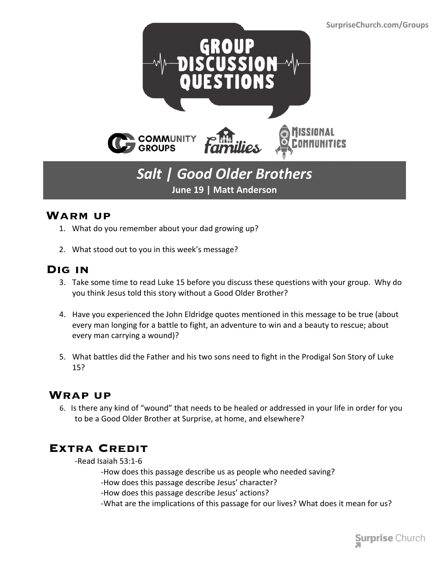

## *Salt | Good Older Brothers* **June 19 | Matt Anderson**

#### **Warm up**

- 1. What do you remember about your dad growing up?
- 2. What stood out to you in this week's message?

#### **Dig in**

- 3. Take some time to read Luke 15 before you discuss these questions with your group. Why do you think Jesus told this story without a Good Older Brother?
- 4. Have you experienced the John Eldridge quotes mentioned in this message to be true (about every man longing for a battle to fight, an adventure to win and a beauty to rescue; about every man carrying a wound)?
- 5. What battles did the Father and his two sons need to fight in the Prodigal Son Story of Luke 15?

### **Wrap up**

 6. Is there any kind of "wound" that needs to be healed or addressed in your life in order for you to be a Good Older Brother at Surprise, at home, and elsewhere?

### **Extra Credit**

-Read Isaiah 53:1-6

- -How does this passage describe us as people who needed saving?
- -How does this passage describe Jesus' character?
- -How does this passage describe Jesus' actions?
- -What are the implications of this passage for our lives? What does it mean for us?